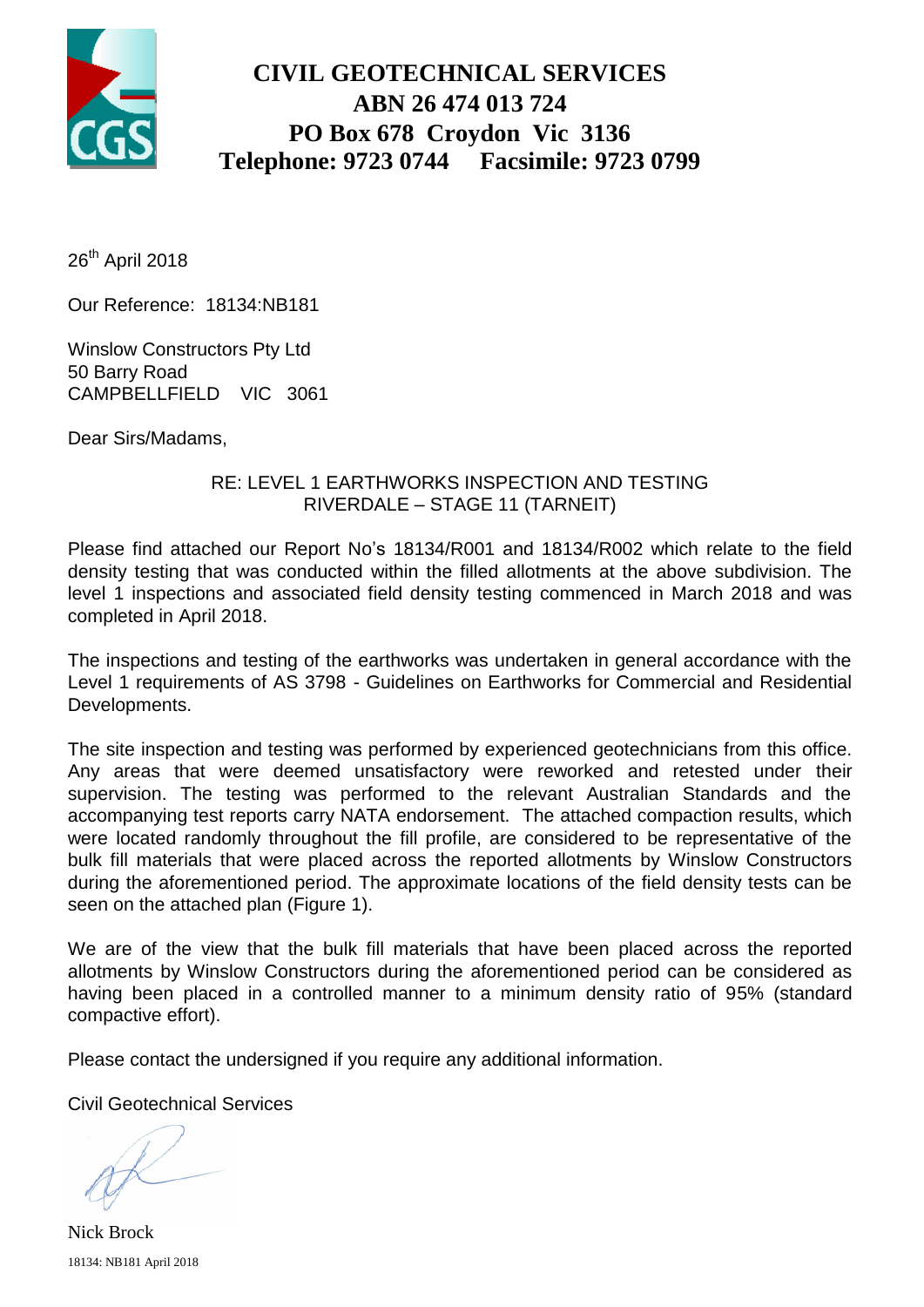

## **CIVIL GEOTECHNICAL SERVICES ABN 26 474 013 724 PO Box 678 Croydon Vic 3136 Telephone: 9723 0744 Facsimile: 9723 0799**

26<sup>th</sup> April 2018

Our Reference: 18134:NB181

Winslow Constructors Pty Ltd 50 Barry Road CAMPBELLFIELD VIC 3061

Dear Sirs/Madams,

### RE: LEVEL 1 EARTHWORKS INSPECTION AND TESTING RIVERDALE – STAGE 11 (TARNEIT)

Please find attached our Report No's 18134/R001 and 18134/R002 which relate to the field density testing that was conducted within the filled allotments at the above subdivision. The level 1 inspections and associated field density testing commenced in March 2018 and was completed in April 2018.

The inspections and testing of the earthworks was undertaken in general accordance with the Level 1 requirements of AS 3798 - Guidelines on Earthworks for Commercial and Residential Developments.

The site inspection and testing was performed by experienced geotechnicians from this office. Any areas that were deemed unsatisfactory were reworked and retested under their supervision. The testing was performed to the relevant Australian Standards and the accompanying test reports carry NATA endorsement. The attached compaction results, which were located randomly throughout the fill profile, are considered to be representative of the bulk fill materials that were placed across the reported allotments by Winslow Constructors during the aforementioned period. The approximate locations of the field density tests can be seen on the attached plan (Figure 1).

We are of the view that the bulk fill materials that have been placed across the reported allotments by Winslow Constructors during the aforementioned period can be considered as having been placed in a controlled manner to a minimum density ratio of 95% (standard compactive effort).

Please contact the undersigned if you require any additional information.

Civil Geotechnical Services

18134: NB181 April 2018 Nick Brock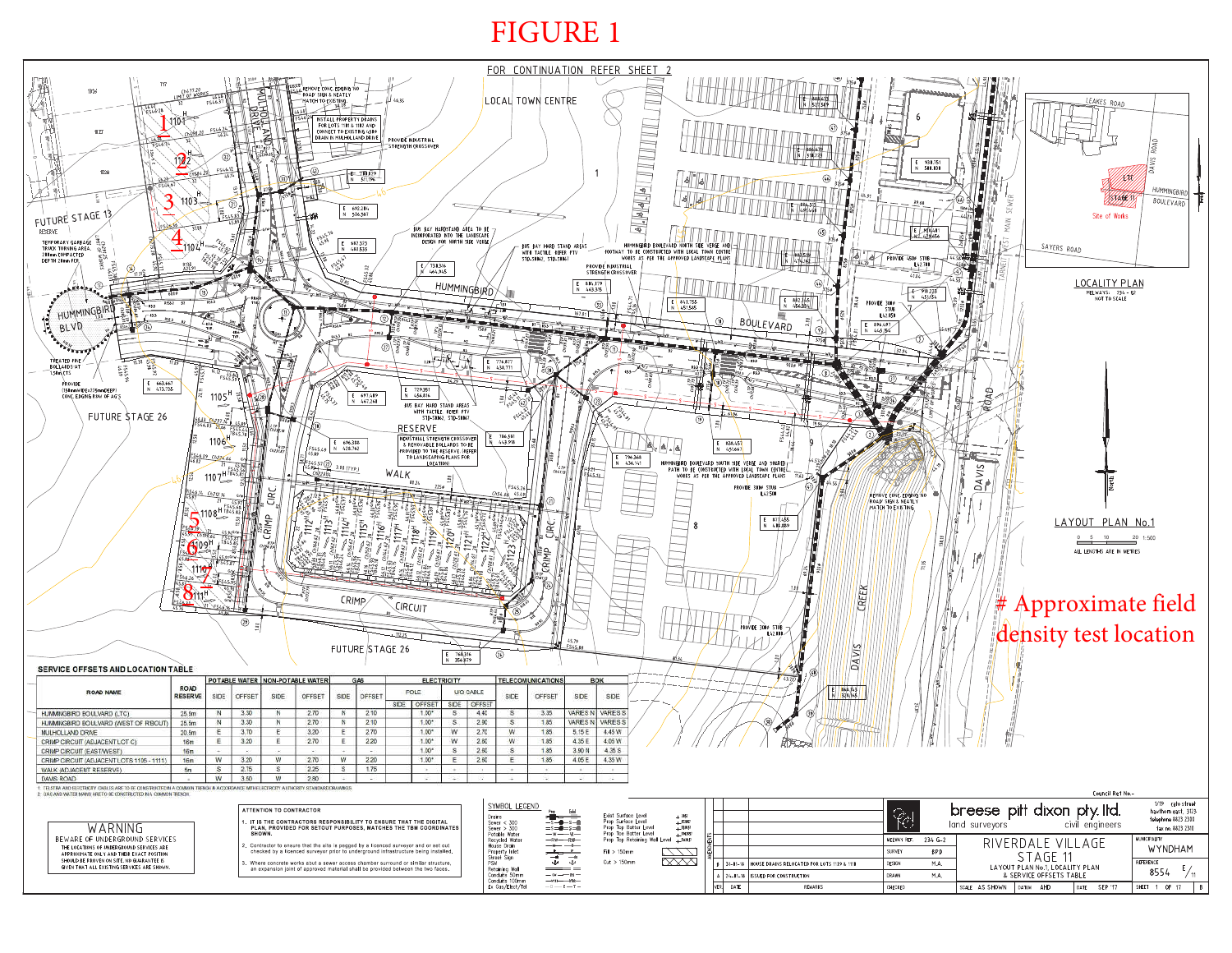# FIGURE 1

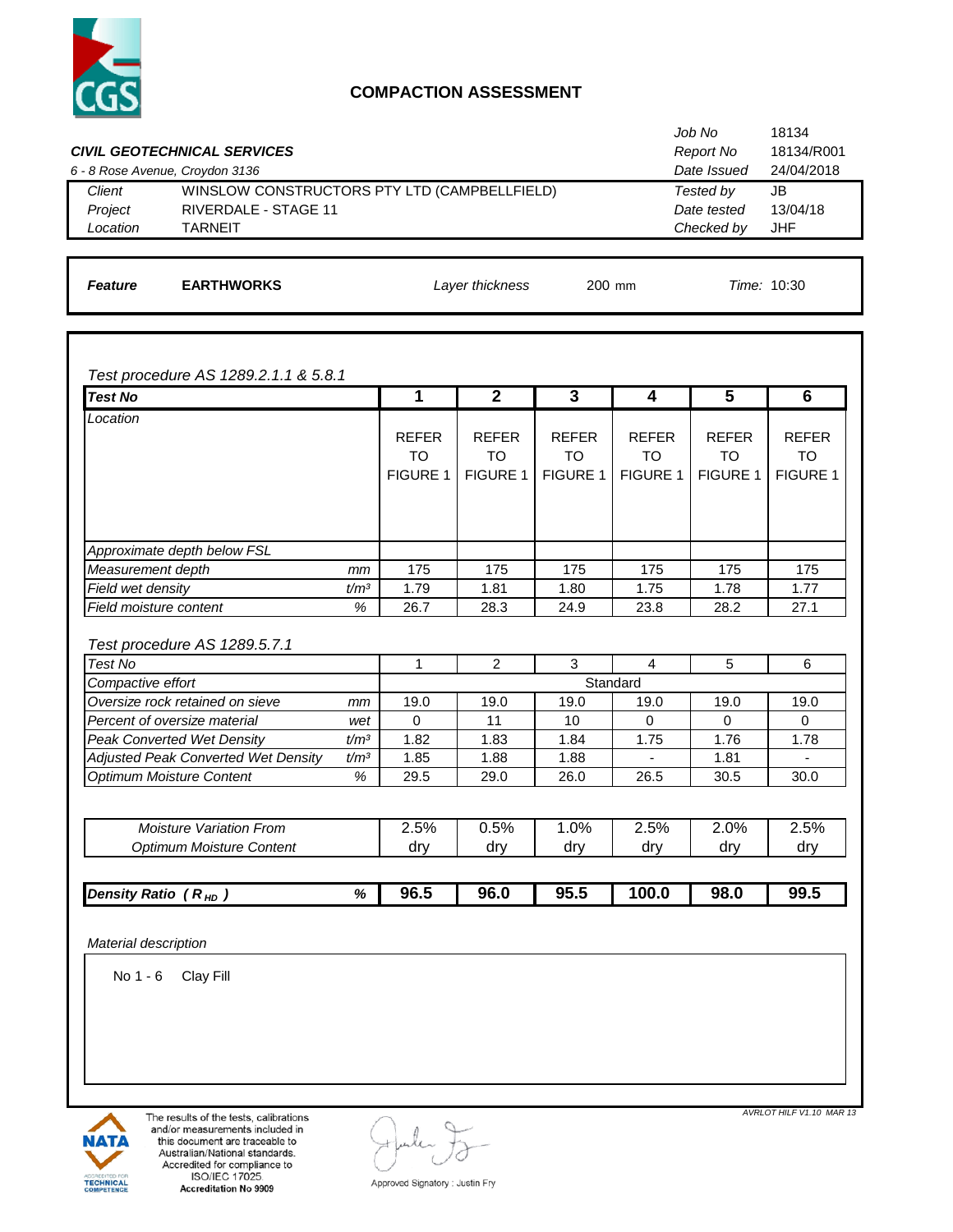

#### **COMPACTION ASSESSMENT**

|                                 | <b>CIVIL GEOTECHNICAL SERVICES</b>           | Job No<br>Report No | 18134<br>18134/R001 |
|---------------------------------|----------------------------------------------|---------------------|---------------------|
| 6 - 8 Rose Avenue, Croydon 3136 |                                              | Date Issued         | 24/04/2018          |
| Client                          | WINSLOW CONSTRUCTORS PTY LTD (CAMPBELLFIELD) | Tested by           | JB                  |
| Project                         | RIVERDALE - STAGE 11                         | Date tested         | 13/04/18            |
| Location                        | <b>TARNEIT</b>                               | Checked by          | JHF                 |
|                                 |                                              |                     |                     |

*Feature* **EARTHWORKS** 200 mm *Time:* 10:30 *Layer thickness*

*Test procedure AS 1289.2.1.1 & 5.8.1*

|                                                                                                      |                  | 1               | $\mathbf{2}$    | 3               | 4               | 5               | 6               |
|------------------------------------------------------------------------------------------------------|------------------|-----------------|-----------------|-----------------|-----------------|-----------------|-----------------|
| Location                                                                                             |                  |                 |                 |                 |                 |                 |                 |
|                                                                                                      |                  | <b>REFER</b>    | <b>REFER</b>    | <b>REFER</b>    | <b>REFER</b>    | <b>REFER</b>    | <b>REFER</b>    |
|                                                                                                      |                  | <b>TO</b>       | <b>TO</b>       | <b>TO</b>       | <b>TO</b>       | <b>TO</b>       | TO              |
|                                                                                                      |                  | <b>FIGURE 1</b> | <b>FIGURE 1</b> | <b>FIGURE 1</b> | <b>FIGURE 1</b> | <b>FIGURE 1</b> | <b>FIGURE 1</b> |
|                                                                                                      |                  |                 |                 |                 |                 |                 |                 |
|                                                                                                      |                  |                 |                 |                 |                 |                 |                 |
|                                                                                                      |                  |                 |                 |                 |                 |                 |                 |
| Approximate depth below FSL                                                                          |                  |                 |                 |                 |                 |                 |                 |
| Measurement depth                                                                                    | mm               | 175             | 175             | 175             | 175             | 175             | 175             |
| Field wet density                                                                                    | t/m <sup>3</sup> | 1.79            | 1.81            | 1.80            | 1.75            | 1.78            | 1.77            |
| Field moisture content                                                                               | %                | 26.7            | 28.3            | 24.9            | 23.8            | 28.2            | 27.1            |
|                                                                                                      |                  |                 |                 |                 |                 |                 |                 |
| Test procedure AS 1289.5.7.1                                                                         |                  |                 |                 |                 |                 |                 |                 |
| Test No                                                                                              |                  | 1               | $\overline{2}$  | 3               | $\overline{4}$  | 5               |                 |
| Compactive effort                                                                                    |                  |                 |                 |                 |                 |                 | 6               |
|                                                                                                      |                  |                 |                 |                 | Standard        |                 |                 |
| Oversize rock retained on sieve                                                                      | mm               | 19.0            | 19.0            | 19.0            | 19.0            | 19.0            | 19.0            |
|                                                                                                      | wet              | $\Omega$        | 11              | 10              | $\Omega$        | $\Omega$        | $\Omega$        |
|                                                                                                      | t/m <sup>3</sup> | 1.82            | 1.83            | 1.84            | 1.75            | 1.76            | 1.78            |
| <b>Adjusted Peak Converted Wet Density</b>                                                           | t/m <sup>3</sup> | 1.85            | 1.88            | 1.88            | $\blacksquare$  | 1.81            | ٠               |
| Percent of oversize material<br><b>Peak Converted Wet Density</b><br><b>Optimum Moisture Content</b> | %                | 29.5            | 29.0            | 26.0            | 26.5            | 30.5            | 30.0            |
|                                                                                                      |                  |                 |                 |                 |                 |                 |                 |
| <b>Moisture Variation From</b>                                                                       |                  | 2.5%            | 0.5%            | 1.0%            | 2.5%            | 2.0%            | 2.5%            |
| <b>Optimum Moisture Content</b>                                                                      |                  | dry             | dry             | dry             | dry             | dry             | dry             |
|                                                                                                      |                  |                 |                 |                 |                 |                 |                 |

*Material description*

No 1 - 6 Clay Fill



The results of the tests, calibrations and/or measurements included in this document are traceable to Australian/National standards. Accredited for compliance to<br>ISO/IEC 17025 Accreditation No 9909

*AVRLOT HILF V1.10 MAR 13* 

Approved Signatory : Justin Fry